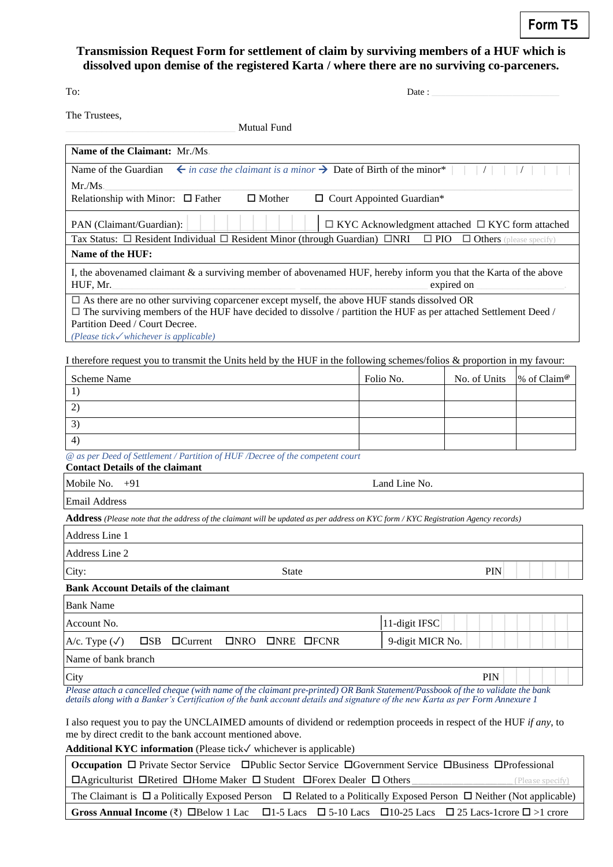## **Transmission Request Form for settlement of claim by surviving members of a HUF which is dissolved upon demise of the registered Karta / where there are no surviving co-parceners.**

| ٠<br>٦ |  |
|--------|--|

 $To:$  Date :

The Trustees,

\_\_\_\_\_\_\_\_\_\_\_\_\_\_\_\_\_\_\_\_\_\_\_\_\_\_\_\_\_\_\_\_\_ Mutual Fund

| <b>Name of the Claimant: Mr./Ms.</b>                                                                                                                                                                                                                                                                    |                                                             |                                |             |
|---------------------------------------------------------------------------------------------------------------------------------------------------------------------------------------------------------------------------------------------------------------------------------------------------------|-------------------------------------------------------------|--------------------------------|-------------|
| $\leftarrow$ in case the claimant is a minor $\rightarrow$ Date of Birth of the minor*<br>Name of the Guardian                                                                                                                                                                                          |                                                             |                                |             |
|                                                                                                                                                                                                                                                                                                         |                                                             |                                |             |
| Mr./Ms.<br>Relationship with Minor: $\Box$ Father<br>$\Box$ Mother                                                                                                                                                                                                                                      | □ Court Appointed Guardian*                                 |                                |             |
| PAN (Claimant/Guardian):                                                                                                                                                                                                                                                                                | $\Box$ KYC Acknowledgment attached $\Box$ KYC form attached |                                |             |
| Tax Status: $\Box$ Resident Individual $\Box$ Resident Minor (through Guardian) $\Box$ NRI                                                                                                                                                                                                              | $\square$ PIO                                               | $\Box$ Others (please specify) |             |
| Name of the HUF:                                                                                                                                                                                                                                                                                        |                                                             |                                |             |
| I, the abovenamed claimant & a surviving member of abovenamed HUF, hereby inform you that the Karta of the above<br>HUF, Mr.                                                                                                                                                                            |                                                             | expired on                     |             |
| $\Box$ As there are no other surviving coparcener except myself, the above HUF stands dissolved OR<br>$\Box$ The surviving members of the HUF have decided to dissolve / partition the HUF as per attached Settlement Deed /<br>Partition Deed / Court Decree.<br>(Please tick√whichever is applicable) |                                                             |                                |             |
| I therefore request you to transmit the Units held by the HUF in the following schemes/folios $\&$ proportion in my favour:                                                                                                                                                                             |                                                             |                                |             |
| <b>Scheme Name</b>                                                                                                                                                                                                                                                                                      | Folio No.                                                   | No. of Units                   | % of Claim® |
| 1)                                                                                                                                                                                                                                                                                                      |                                                             |                                |             |
| 2)                                                                                                                                                                                                                                                                                                      |                                                             |                                |             |
| 3)                                                                                                                                                                                                                                                                                                      |                                                             |                                |             |
| 4)                                                                                                                                                                                                                                                                                                      |                                                             |                                |             |
| @ as per Deed of Settlement / Partition of HUF /Decree of the competent court<br><b>Contact Details of the claimant</b>                                                                                                                                                                                 |                                                             |                                |             |
| Mobile No.<br>$+91$                                                                                                                                                                                                                                                                                     | Land Line No.                                               |                                |             |
| <b>Email Address</b>                                                                                                                                                                                                                                                                                    |                                                             |                                |             |
| Address (Please note that the address of the claimant will be updated as per address on KYC form / KYC Registration Agency records)                                                                                                                                                                     |                                                             |                                |             |
| <b>Address Line 1</b>                                                                                                                                                                                                                                                                                   |                                                             |                                |             |
| Address Line 2                                                                                                                                                                                                                                                                                          |                                                             |                                |             |
| <b>State</b><br>City:                                                                                                                                                                                                                                                                                   |                                                             | <b>PIN</b>                     |             |
| <b>Bank Account Details of the claimant</b>                                                                                                                                                                                                                                                             |                                                             |                                |             |
| <b>Bank Name</b>                                                                                                                                                                                                                                                                                        |                                                             |                                |             |
| Account No.                                                                                                                                                                                                                                                                                             | 11-digit IFSC                                               |                                |             |
| $\square$ SB<br>A/c. Type $(\checkmark)$<br>$\Box$ Current<br>INRO<br><b>ONRE OFCNR</b>                                                                                                                                                                                                                 | 9-digit MICR No.                                            |                                |             |
| Name of bank branch                                                                                                                                                                                                                                                                                     |                                                             |                                |             |
| City                                                                                                                                                                                                                                                                                                    |                                                             | PIN                            |             |
| Please attach a cancelled cheque (with name of the claimant pre-printed) OR Bank Statement/Passbook of the to validate the bank<br>details along with a Banker's Certification of the bank account details and signature of the new Karta as per Form Annexure 1                                        |                                                             |                                |             |
| I also request you to pay the UNCLAIMED amounts of dividend or redemption proceeds in respect of the HUF if any, to                                                                                                                                                                                     |                                                             |                                |             |
| me by direct credit to the bank account mentioned above.                                                                                                                                                                                                                                                |                                                             |                                |             |

**Additional KYC information** (Please tick✓ whichever is applicable)

| Occupation □ Private Sector Service □ Public Sector Service □ Government Service □ Business □ Professional                         |                                                                                                                                                      |  |
|------------------------------------------------------------------------------------------------------------------------------------|------------------------------------------------------------------------------------------------------------------------------------------------------|--|
| $\Box$ Agriculturist $\Box$ Retired $\Box$ Home Maker $\Box$ Student $\Box$ Forex Dealer $\Box$ Others<br>(Please specify)         |                                                                                                                                                      |  |
| The Claimant is $\Box$ a Politically Exposed Person $\Box$ Related to a Politically Exposed Person $\Box$ Neither (Not applicable) |                                                                                                                                                      |  |
|                                                                                                                                    | Gross Annual Income ( $\overline{\xi}$ ) $\Box$ Below 1 Lac $\Box$ 1-5 Lacs $\Box$ 5-10 Lacs $\Box$ 10-25 Lacs $\Box$ 25 Lacs-1crore $\Box$ >1 crore |  |